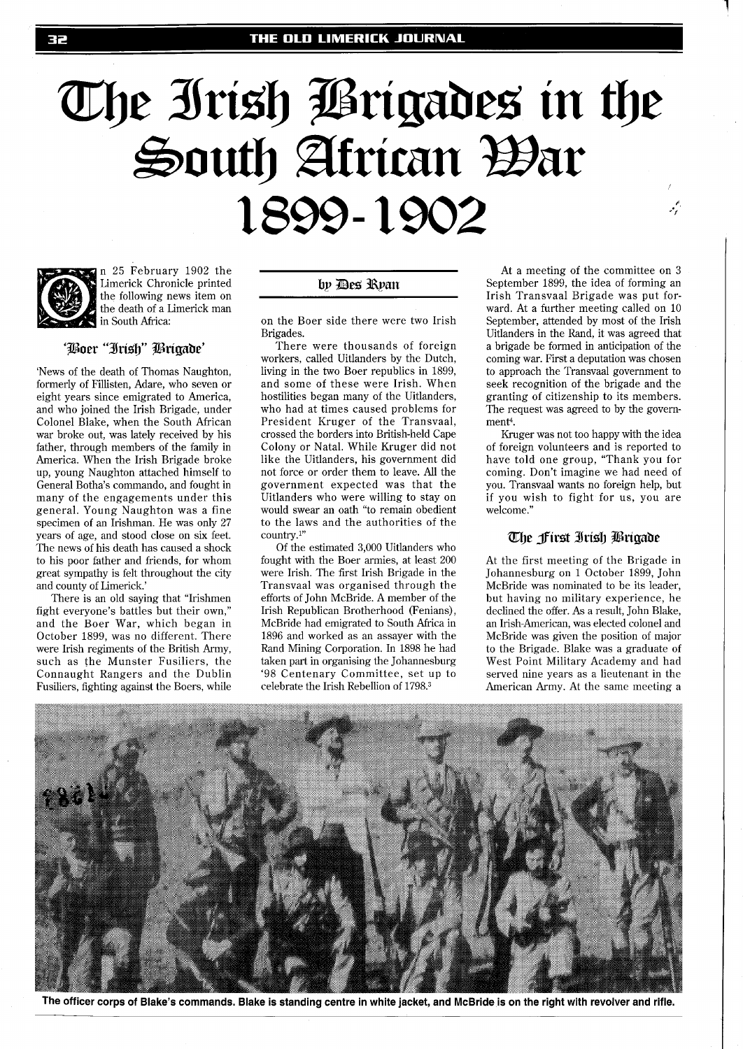# The Irish Prigades in the South African War 1899-1902



n 25 February 1902 the Limerick Chronicle printed the following news item on the death of a Limerick man in South Africa:

### 'Boer "Irish" Brigade'

'News of the death of Thomas Naughton, formerly of Fillisten, Adare, who seven or eight years since emigrated to America, and who joined the Irish Brigade, under Colonel Blake, when the South African war broke out, was lately received by his father, through members of the family in America. When the Irish Brigade broke up, young Naughton attached himself to General Botha's commando, and fought in many of the engagements under this general. Young Naughton was a fine specimen of an Irishman. He was only 27 years of age, and stood close on six feet. The news of his death has caused a shock to his poor father and friends, for whom great sympathy is felt throughout the city and county of Limerick.'

There is an old saying that "Irishmen fight everyone's battles but their own," and the Boer War, which began in October 1899, was no different. There were Irish regiments of the British Army, such as the Munster Fusiliers, the Connaught Rangers and the Dublin Fusiliers, fighting against the Boers, while

## by Des Ryan

on the Boer side there were two Irish Brigades.

There were thousands of foreign workers, called Uitlanders by the Dutch, living in the two Boer republics in 1899, and some of these were Irish. When hostilities began many of the Uitlanders, who had at times caused problems for President Kruger of the Transvaal, crossed the borders into British-held Cape Colony or Natal. While Kruger did not like the Uitlanders, his government did not force or order them to leave. All the government expected was that the Uitlanders who were willing to stay on would swear an oath "to remain obedient to the laws and the authorities of the country.l"

Of the estimated 3,000 Uitlanders who fought with the Boer armies, at least 200 were Irish. The first Irish Brigade in the Transvaal was organised through the efforts of John McBride. A member of the Irish Republican Brotherhood (Fenians), McBride had emigrated to South Africa in 1896 and worked as an assayer with the Rand Mining Corporation. In 1898 he had taken part in organising the Johannesburg '98 Centenary Committee, set up to celebrate the Irish Rebellion of 1798.3

At a meeting of the committee on **3**  September 1899, the idea of forming an Irish Transvaal Brigade was put forward. At a further meeting called on 10 September, attended by most of the Irish Uitlanders in the Rand, it was agreed that a brigade be formed in anticipation of the coming war. First a deputation was chosen to approach the Transvaal government to seek recognition of the brigade and the granting of citizenship to its members. The request was agreed to by the government<sup>4</sup>.

 $\frac{\epsilon'}{\epsilon}$ 

Kruger was not too happy with the idea of foreign volunteers and is reported to have told one group, "Thank you for coming. Don't imagine we had need of you. Transvaal wants no foreign help, but if you wish to fight for us, you are welcome."

## The first Irish Brigade

At the first meeting of the Brigade in Johannesburg on 1 October 1899, John McBride was nominated to be its leader, but having no military experience, he declined the offer. As a result, John Blake, an Irish-American, was elected colonel and McBride was given the position of major to the Brigade. Blake was a graduate of West Point Military Academy and had served nine years as a lieutenant in the American Army. At the same meeting a



**The officer corps of Blake's commands. Blake is standing centre in white jacket, and McBride is on the right with revolver and rifle.**